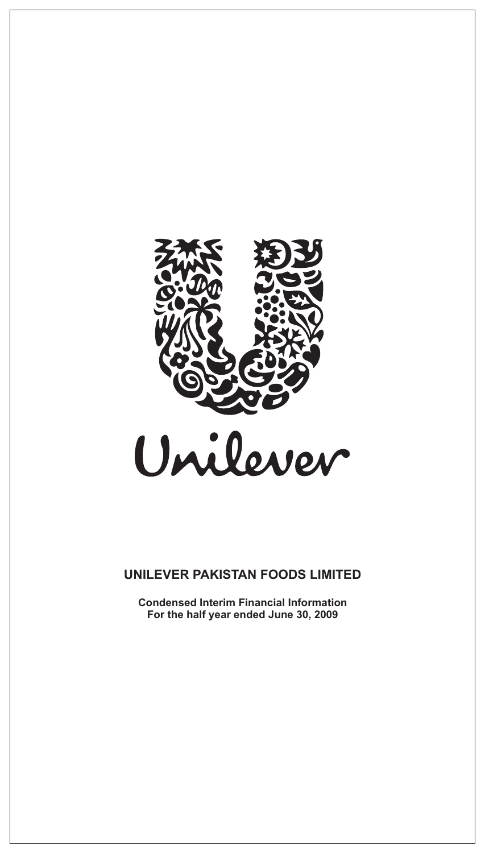

**Condensed Interim Financial Information For the half year ended June 30, 2009**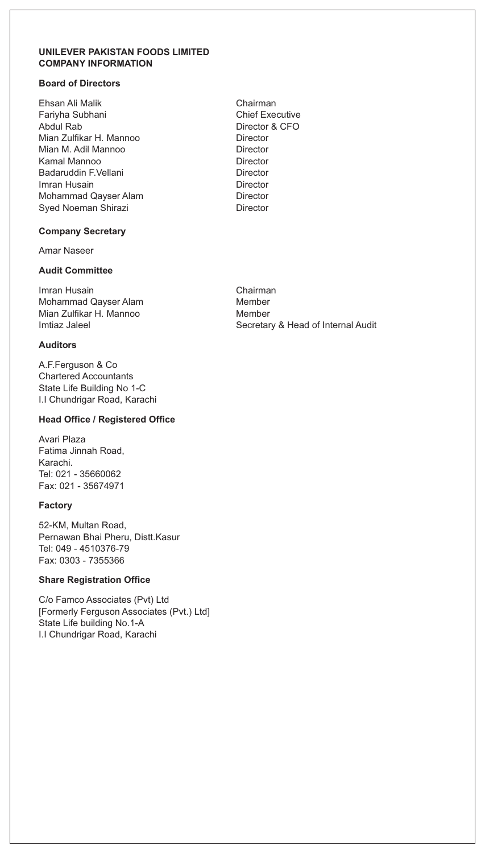#### **UNILEVER PAKISTAN FOODS LIMITED COMPANY INFORMATION**

### **Board of Directors**

Ehsan Ali Malik Chairman Fariyha Subhani **Chief Executive** Chief Executive Abdul Rab Director & CFO Mian Zulfikar H. Mannoo Director<br>Mian M. Adil Mannoo Director Mian M. Adil Mannoo Kamal Mannoo **Director** Badaruddin F.Vellani **Director** Director Imran Husain **Director** Director Mohammad Qayser Alam Director Syed Noeman Shirazi **Director** Director

#### **Company Secretary**

Amar Naseer

#### **Audit Committee**

Imran Husain Chairman Mohammad Qayser Alam Mian Zulfikar H. Mannoo Member

### **Auditors**

A.F.Ferguson & Co Chartered Accountants State Life Building No 1-C I.I Chundrigar Road, Karachi

#### **Head Office / Registered Office**

Avari Plaza Fatima Jinnah Road, Karachi. Tel: 021 - 35660062 Fax: 021 - 35674971

### **Factory**

52-KM, Multan Road, Pernawan Bhai Pheru, Distt.Kasur Tel: 049 - 4510376-79 Fax: 0303 - 7355366

### **Share Registration Office**

C/o Famco Associates (Pvt) Ltd [Formerly Ferguson Associates (Pvt.) Ltd] State Life building No.1-A I.I Chundrigar Road, Karachi

Imtiaz Jaleel **Secretary & Head of Internal Audit** Secretary & Head of Internal Audit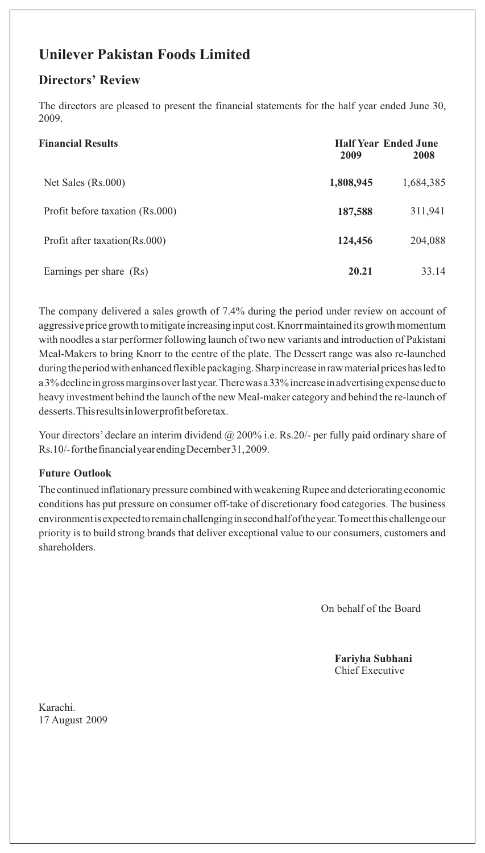# **Unilever Pakistan Foods Limited**

# **Directors' Review**

The directors are pleased to present the financial statements for the half year ended June 30, 2009.

| <b>Financial Results</b>        | <b>Half Year Ended June</b><br>2009<br>2008 |           |
|---------------------------------|---------------------------------------------|-----------|
| Net Sales (Rs.000)              | 1,808,945                                   | 1,684,385 |
| Profit before taxation (Rs.000) | 187,588                                     | 311,941   |
| Profit after taxation(Rs.000)   | 124,456                                     | 204,088   |
| Earnings per share (Rs)         | 20.21                                       | 33.14     |

The company delivered a sales growth of 7.4% during the period under review on account of aggressive price growth to mitigate increasing input cost. Knorr maintained its growth momentum with noodles a star performer following launch of two new variants and introduction of Pakistani Meal-Makers to bring Knorr to the centre of the plate. The Dessert range was also re-launched during the period with enhanced flexible packaging. Sharp increase in raw material prices has led to a 3% decline in gross margins over last year. There was a 33% increase in advertising expense due to heavy investment behind the launch of the new Meal-maker category and behind the re-launch of desserts. This results in lower profit before tax.

Your directors' declare an interim dividend @ 200% i.e. Rs.20/- per fully paid ordinary share of Rs.10/- for the financial year ending December 31, 2009.

## **Future Outlook**

The continued inflationary pressure combined with weakening Rupee and deteriorating economic conditions has put pressure on consumer off-take of discretionary food categories. The business environment is expected to remain challenging in second half of the year. To meet this challenge our priority is to build strong brands that deliver exceptional value to our consumers, customers and shareholders.

On behalf of the Board

**Fariyha Subhani** Chief Executive

Karachi. 17 August 2009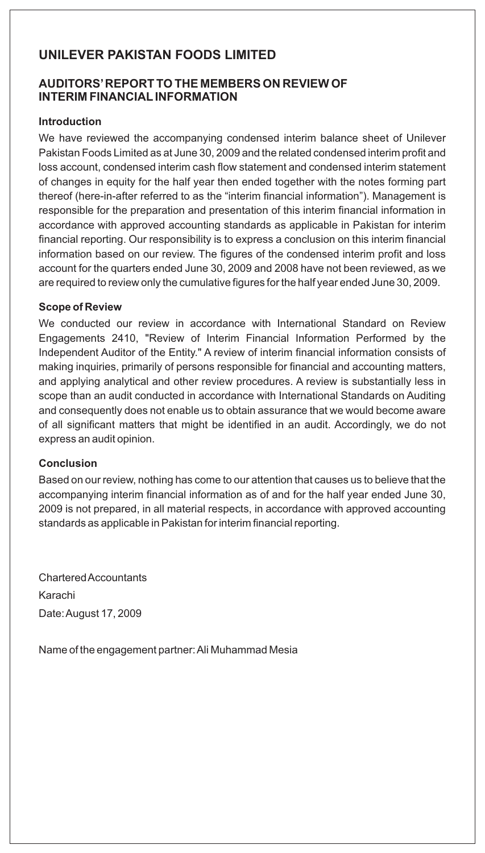## **AUDITORS'REPORT TO THE MEMBERS ON REVIEW OF INTERIM FINANCIALINFORMATION**

### **Introduction**

We have reviewed the accompanying condensed interim balance sheet of Unilever Pakistan Foods Limited as at June 30, 2009 and the related condensed interim profit and loss account, condensed interim cash flow statement and condensed interim statement of changes in equity for the half year then ended together with the notes forming part thereof (here-in-after referred to as the "interim financial information"). Management is responsible for the preparation and presentation of this interim financial information in accordance with approved accounting standards as applicable in Pakistan for interim financial reporting. Our responsibility is to express a conclusion on this interim financial information based on our review. The figures of the condensed interim profit and loss account for the quarters ended June 30, 2009 and 2008 have not been reviewed, as we are required to review only the cumulative figures for the half year ended June 30, 2009.

### **Scope of Review**

We conducted our review in accordance with International Standard on Review Engagements 2410, "Review of Interim Financial Information Performed by the Independent Auditor of the Entity." A review of interim financial information consists of making inquiries, primarily of persons responsible for financial and accounting matters, and applying analytical and other review procedures. A review is substantially less in scope than an audit conducted in accordance with International Standards on Auditing and consequently does not enable us to obtain assurance that we would become aware of all significant matters that might be identified in an audit. Accordingly, we do not express an audit opinion.

### **Conclusion**

Based on our review, nothing has come to our attention that causes us to believe that the accompanying interim financial information as of and for the half year ended June 30, 2009 is not prepared, in all material respects, in accordance with approved accounting standards as applicable in Pakistan for interim financial reporting.

Chartered Accountants Karachi Date: August 17, 2009

Name of the engagement partner: Ali Muhammad Mesia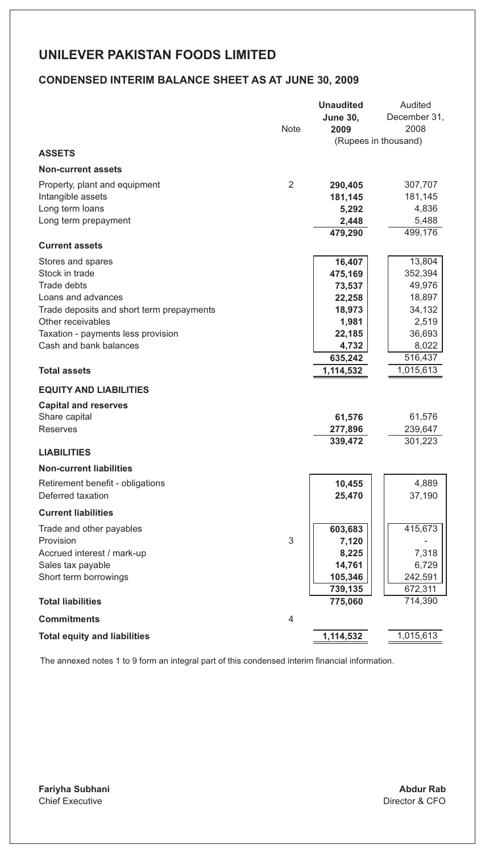## **CONDENSED INTERIM BALANCE SHEET AS AT JUNE 30, 2009**

|                                           | <b>Note</b> | <b>Unaudited</b><br><b>June 30.</b><br>2009 | Audited<br>December 31.<br>2008<br>(Rupees in thousand) |
|-------------------------------------------|-------------|---------------------------------------------|---------------------------------------------------------|
| <b>ASSETS</b>                             |             |                                             |                                                         |
| <b>Non-current assets</b>                 |             |                                             |                                                         |
| Property, plant and equipment             | 2           | 290,405                                     | 307,707                                                 |
| Intangible assets                         |             | 181,145                                     | 181,145                                                 |
| Long term loans                           |             | 5,292                                       | 4,836                                                   |
| Long term prepayment                      |             | 2,448                                       | 5,488                                                   |
|                                           |             | 479,290                                     | 499,176                                                 |
| <b>Current assets</b>                     |             |                                             |                                                         |
| Stores and spares                         |             | 16,407                                      | 13,804                                                  |
| Stock in trade                            |             | 475,169                                     | 352,394                                                 |
| Trade debts<br>Loans and advances         |             | 73,537                                      | 49,976<br>18,897                                        |
| Trade deposits and short term prepayments |             | 22,258<br>18,973                            | 34,132                                                  |
| Other receivables                         |             | 1,981                                       | 2,519                                                   |
| Taxation - payments less provision        |             | 22,185                                      | 36,693                                                  |
| Cash and bank balances                    |             | 4,732                                       | 8,022                                                   |
|                                           |             | 635,242                                     | 516,437                                                 |
| <b>Total assets</b>                       |             | 1,114,532                                   | 1,015,613                                               |
| <b>EQUITY AND LIABILITIES</b>             |             |                                             |                                                         |
| <b>Capital and reserves</b>               |             |                                             |                                                         |
| Share capital                             |             | 61,576                                      | 61,576                                                  |
| Reserves                                  |             | 277,896                                     | 239,647                                                 |
|                                           |             | 339,472                                     | 301,223                                                 |
| <b>LIABILITIES</b>                        |             |                                             |                                                         |
| <b>Non-current liabilities</b>            |             |                                             |                                                         |
| Retirement benefit - obligations          |             | 10,455                                      | 4,889                                                   |
| Deferred taxation                         |             | 25,470                                      | 37,190                                                  |
| <b>Current liabilities</b>                |             |                                             |                                                         |
| Trade and other payables                  |             | 603,683                                     | 415,673                                                 |
| Provision                                 | 3           | 7,120                                       |                                                         |
| Accrued interest / mark-up                |             | 8,225                                       | 7,318                                                   |
| Sales tax payable                         |             | 14,761                                      | 6,729                                                   |
| Short term borrowings                     |             | 105,346                                     | 242,591                                                 |
|                                           |             | 739,135                                     | 672,311                                                 |
| <b>Total liabilities</b>                  |             | 775,060                                     | 714,390                                                 |
| <b>Commitments</b>                        | 4           |                                             |                                                         |
| <b>Total equity and liabilities</b>       |             | 1,114,532                                   | 1,015,613                                               |

The annexed notes 1 to 9 form an integral part of this condensed interim financial information.

**Fariyha Subhani** Chief Executive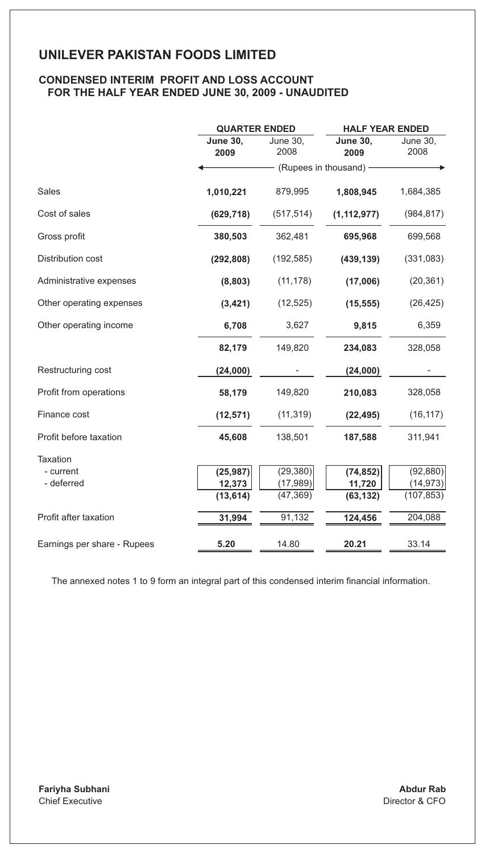### **CONDENSED INTERIM PROFIT AND LOSS ACCOUNT FOR THE HALF YEAR ENDED JUNE 30, 2009 - UNAUDITED**

|                             | <b>QUARTER ENDED</b>    |                  | <b>HALF YEAR ENDED</b>  |                  |  |
|-----------------------------|-------------------------|------------------|-------------------------|------------------|--|
|                             | <b>June 30,</b><br>2009 | June 30,<br>2008 | <b>June 30,</b><br>2009 | June 30,<br>2008 |  |
|                             |                         |                  | (Rupees in thousand) -  |                  |  |
| <b>Sales</b>                | 1,010,221               | 879,995          | 1,808,945               | 1,684,385        |  |
| Cost of sales               | (629, 718)              | (517, 514)       | (1, 112, 977)           | (984, 817)       |  |
| Gross profit                | 380,503                 | 362,481          | 695,968                 | 699,568          |  |
| Distribution cost           | (292, 808)              | (192, 585)       | (439, 139)              | (331, 083)       |  |
| Administrative expenses     | (8,803)                 | (11, 178)        | (17,006)                | (20, 361)        |  |
| Other operating expenses    | (3, 421)                | (12, 525)        | (15, 555)               | (26, 425)        |  |
| Other operating income      | 6,708                   | 3,627            | 9,815                   | 6,359            |  |
|                             | 82,179                  | 149,820          | 234,083                 | 328,058          |  |
| Restructuring cost          | (24,000)                |                  | (24,000)                |                  |  |
| Profit from operations      | 58,179                  | 149,820          | 210,083                 | 328,058          |  |
| Finance cost                | (12, 571)               | (11, 319)        | (22, 495)               | (16, 117)        |  |
| Profit before taxation      | 45,608                  | 138,501          | 187,588                 | 311,941          |  |
| Taxation                    |                         |                  |                         |                  |  |
| - current                   | (25, 987)               | (29, 380)        | (74, 852)               | (92, 880)        |  |
| - deferred                  | 12,373                  | (17, 989)        | 11,720                  | (14, 973)        |  |
|                             | (13, 614)               | (47, 369)        | (63, 132)               | (107, 853)       |  |
| Profit after taxation       | 31,994                  | 91,132           | 124,456                 | 204,088          |  |
| Earnings per share - Rupees | 5.20                    | 14.80            | 20.21                   | 33.14            |  |

The annexed notes 1 to 9 form an integral part of this condensed interim financial information.

**Fariyha Subhani** Chief Executive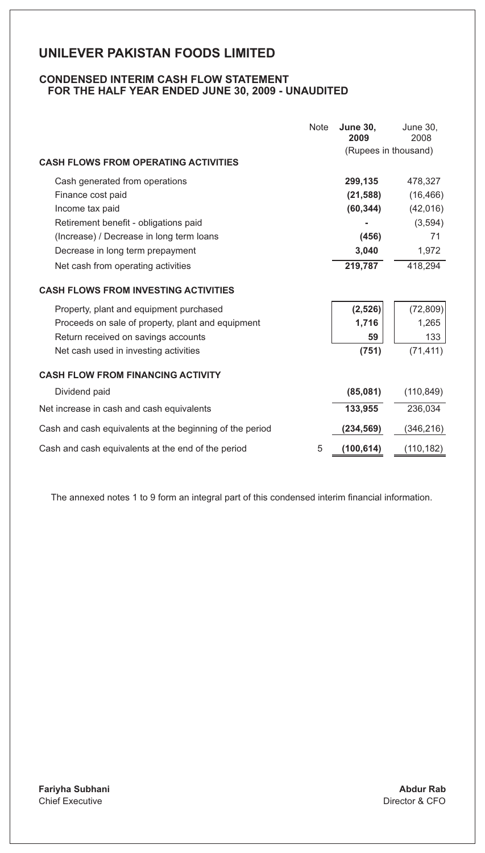### **CONDENSED INTERIM CASH FLOW STATEMENT FOR THE HALF YEAR ENDED JUNE 30, 2009 - UNAUDITED**

|                                                          | Note | <b>June 30,</b><br>2009<br>(Rupees in thousand) | June 30,<br>2008 |
|----------------------------------------------------------|------|-------------------------------------------------|------------------|
| <b>CASH FLOWS FROM OPERATING ACTIVITIES</b>              |      |                                                 |                  |
| Cash generated from operations                           |      | 299,135                                         | 478,327          |
| Finance cost paid                                        |      | (21, 588)                                       | (16, 466)        |
| Income tax paid                                          |      | (60, 344)                                       | (42,016)         |
| Retirement benefit - obligations paid                    |      |                                                 | (3, 594)         |
| (Increase) / Decrease in long term loans                 |      | (456)                                           | 71               |
| Decrease in long term prepayment                         |      | 3,040                                           | 1,972            |
| Net cash from operating activities                       |      | 219,787                                         | 418,294          |
| <b>CASH FLOWS FROM INVESTING ACTIVITIES</b>              |      |                                                 |                  |
| Property, plant and equipment purchased                  |      | (2, 526)                                        | (72, 809)        |
| Proceeds on sale of property, plant and equipment        |      | 1,716                                           | 1,265            |
| Return received on savings accounts                      |      | 59                                              | 133              |
| Net cash used in investing activities                    |      | (751)                                           | (71, 411)        |
| <b>CASH FLOW FROM FINANCING ACTIVITY</b>                 |      |                                                 |                  |
| Dividend paid                                            |      | (85,081)                                        | (110, 849)       |
| Net increase in cash and cash equivalents                |      | 133.955                                         | 236.034          |
| Cash and cash equivalents at the beginning of the period |      | (234, 569)                                      | (346,216)        |
| Cash and cash equivalents at the end of the period       | 5    | (100, 614)                                      | (110, 182)       |

The annexed notes 1 to 9 form an integral part of this condensed interim financial information.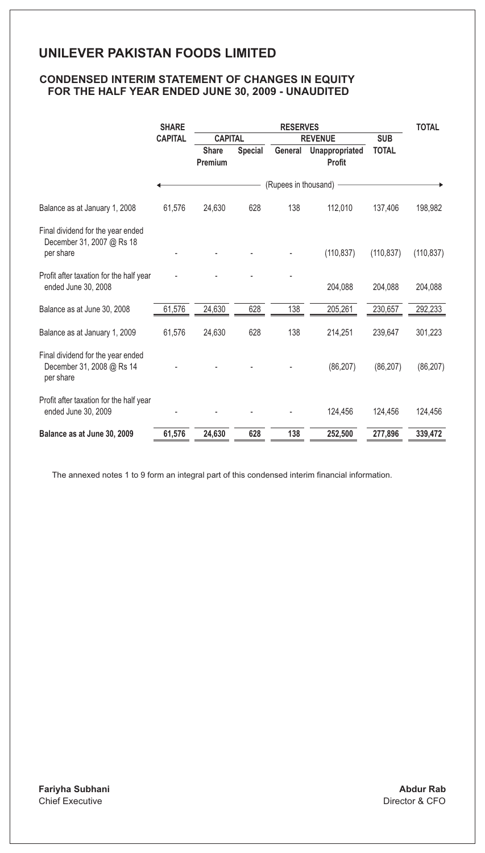### **CONDENSED INTERIM STATEMENT OF CHANGES IN EQUITY FOR THE HALF YEAR ENDED JUNE 30, 2009 - UNAUDITED**

|                                                                             | <b>SHARE</b>   | <b>RESERVES</b>         |                              |                        |                          | <b>TOTAL</b> |            |  |  |
|-----------------------------------------------------------------------------|----------------|-------------------------|------------------------------|------------------------|--------------------------|--------------|------------|--|--|
|                                                                             | <b>CAPITAL</b> |                         | <b>REVENUE</b><br><b>SUB</b> |                        | <b>CAPITAL</b>           |              |            |  |  |
|                                                                             |                | <b>Share</b><br>Premium | Special                      | General                | Unappropriated<br>Profit | <b>TOTAL</b> |            |  |  |
|                                                                             |                |                         |                              | (Rupees in thousand) - |                          |              |            |  |  |
| Balance as at January 1, 2008                                               | 61,576         | 24.630                  | 628                          | 138                    | 112.010                  | 137,406      | 198,982    |  |  |
| Final dividend for the year ended<br>December 31, 2007 @ Rs 18<br>per share |                |                         |                              |                        | (110, 837)               | (110, 837)   | (110, 837) |  |  |
| Profit after taxation for the half year<br>ended June 30, 2008              |                |                         |                              |                        | 204,088                  | 204,088      | 204,088    |  |  |
| Balance as at June 30, 2008                                                 | 61.576         | 24.630                  | 628                          | 138                    | 205,261                  | 230.657      | 292,233    |  |  |
| Balance as at January 1, 2009                                               | 61,576         | 24,630                  | 628                          | 138                    | 214,251                  | 239,647      | 301,223    |  |  |
| Final dividend for the year ended<br>December 31, 2008 @ Rs 14<br>per share |                |                         |                              |                        | (86, 207)                | (86, 207)    | (86, 207)  |  |  |
| Profit after taxation for the half year<br>ended June 30, 2009              |                |                         |                              |                        | 124,456                  | 124,456      | 124,456    |  |  |
| Balance as at June 30, 2009                                                 | 61,576         | 24,630                  | 628                          | 138                    | 252,500                  | 277,896      | 339.472    |  |  |

The annexed notes 1 to 9 form an integral part of this condensed interim financial information.

**Fariyha Subhani** Chief Executive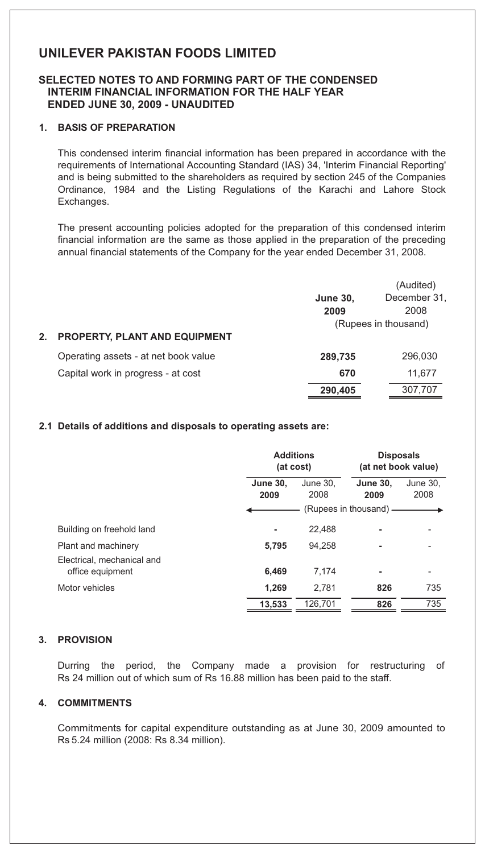### **SELECTED NOTES TO AND FORMING PART OF THE CONDENSED INTERIM FINANCIAL INFORMATION FOR THE HALF YEAR ENDED JUNE 30, 2009 - UNAUDITED**

### **1. BASIS OF PREPARATION**

This condensed interim financial information has been prepared in accordance with the requirements of International Accounting Standard (IAS) 34, 'Interim Financial Reporting' and is being submitted to the shareholders as required by section 245 of the Companies Ordinance, 1984 and the Listing Regulations of the Karachi and Lahore Stock Exchanges.

The present accounting policies adopted for the preparation of this condensed interim financial information are the same as those applied in the preparation of the preceding annual financial statements of the Company for the year ended December 31, 2008.

|                                      |                 | (Audited)            |
|--------------------------------------|-----------------|----------------------|
|                                      | <b>June 30,</b> | December 31.         |
|                                      | 2009            | 2008                 |
|                                      |                 | (Rupees in thousand) |
| <b>PROPERTY, PLANT AND EQUIPMENT</b> |                 |                      |
| Operating assets - at net book value | 289.735         | 296,030              |
| Capital work in progress - at cost   | 670             | 11,677               |
|                                      | 290.405         | 307,707              |

#### **2.1 Details of additions and disposals to operating assets are:**

|                                                |                         | <b>Additions</b><br>(at cost) |                         | <b>Disposals</b><br>(at net book value) |
|------------------------------------------------|-------------------------|-------------------------------|-------------------------|-----------------------------------------|
|                                                | <b>June 30.</b><br>2009 | June 30.<br>2008              | <b>June 30.</b><br>2009 | June 30,<br>2008                        |
|                                                |                         |                               | (Rupees in thousand) —  |                                         |
| Building on freehold land                      | ۰                       | 22.488                        |                         |                                         |
| Plant and machinery                            | 5.795                   | 94.258                        |                         |                                         |
| Electrical, mechanical and<br>office equipment | 6,469                   | 7.174                         | ۰                       |                                         |
| Motor vehicles                                 | 1,269                   | 2.781                         | 826                     | 735                                     |
|                                                | 13.533                  | 126.701                       | 826                     | 735                                     |

### **3. PROVISION**

Durring the period, the Company made a provision for restructuring of Rs 24 million out of which sum of Rs 16.88 million has been paid to the staff.

### **4. COMMITMENTS**

Commitments for capital expenditure outstanding as at June 30, 2009 amounted to Rs 5.24 million (2008: Rs 8.34 million).